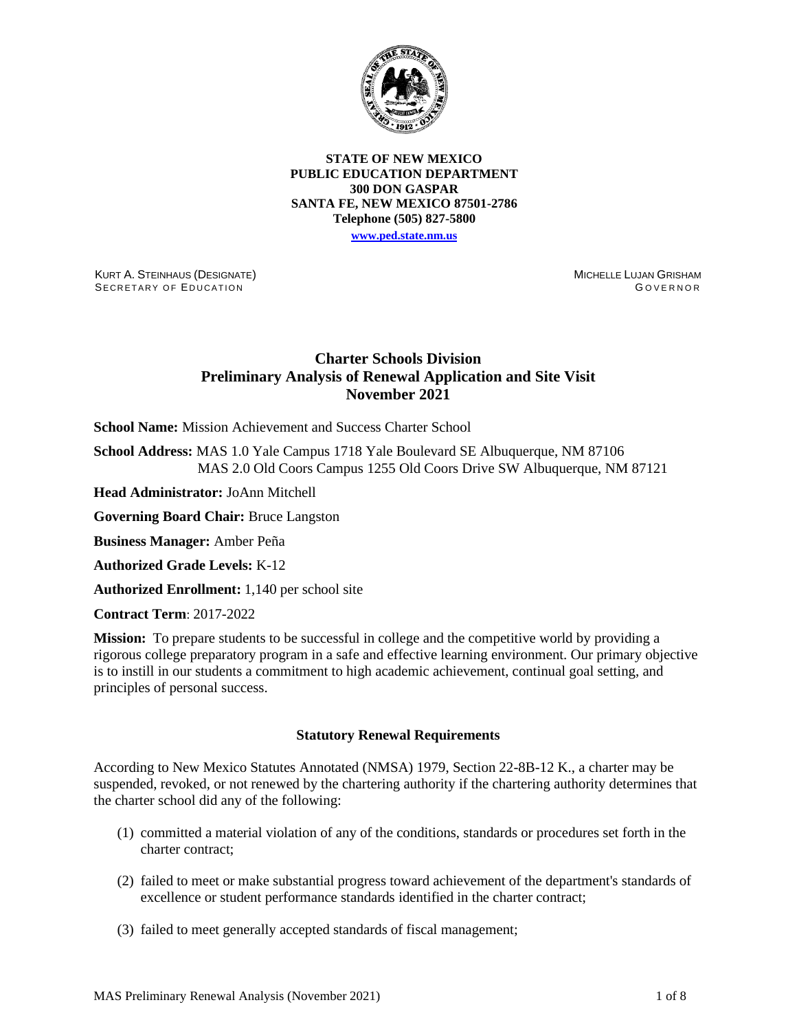

## **STATE OF NEW MEXICO PUBLIC EDUCATION DEPARTMENT 300 DON GASPAR SANTA FE, NEW MEXICO 87501-2786 Telephone (505) 827-5800 [www.ped.state.nm.us](http://webnew.ped.state.nm.us/)**

KURT A. STEINHAUS (DESIGNATE) SECRETARY OF EDUCATION

MICHELLE LUJAN GRISHAM GOVERNOR

# **Charter Schools Division Preliminary Analysis of Renewal Application and Site Visit November 2021**

**School Name:** Mission Achievement and Success Charter School

**School Address:** MAS 1.0 Yale Campus 1718 Yale Boulevard SE Albuquerque, NM 87106 MAS 2.0 Old Coors Campus 1255 Old Coors Drive SW Albuquerque, NM 87121

**Head Administrator:** JoAnn Mitchell

**Governing Board Chair:** Bruce Langston

**Business Manager:** Amber Peña

**Authorized Grade Levels:** K-12

**Authorized Enrollment:** 1,140 per school site

**Contract Term**: 2017-2022

**Mission:** To prepare students to be successful in college and the competitive world by providing a rigorous college preparatory program in a safe and effective learning environment. Our primary objective is to instill in our students a commitment to high academic achievement, continual goal setting, and principles of personal success.

## **Statutory Renewal Requirements**

According to New Mexico Statutes Annotated (NMSA) 1979, Section 22-8B-12 K., a charter may be suspended, revoked, or not renewed by the chartering authority if the chartering authority determines that the charter school did any of the following:

- (1) committed a material violation of any of the conditions, standards or procedures set forth in the charter contract;
- (2) failed to meet or make substantial progress toward achievement of the department's standards of excellence or student performance standards identified in the charter contract;
- (3) failed to meet generally accepted standards of fiscal management;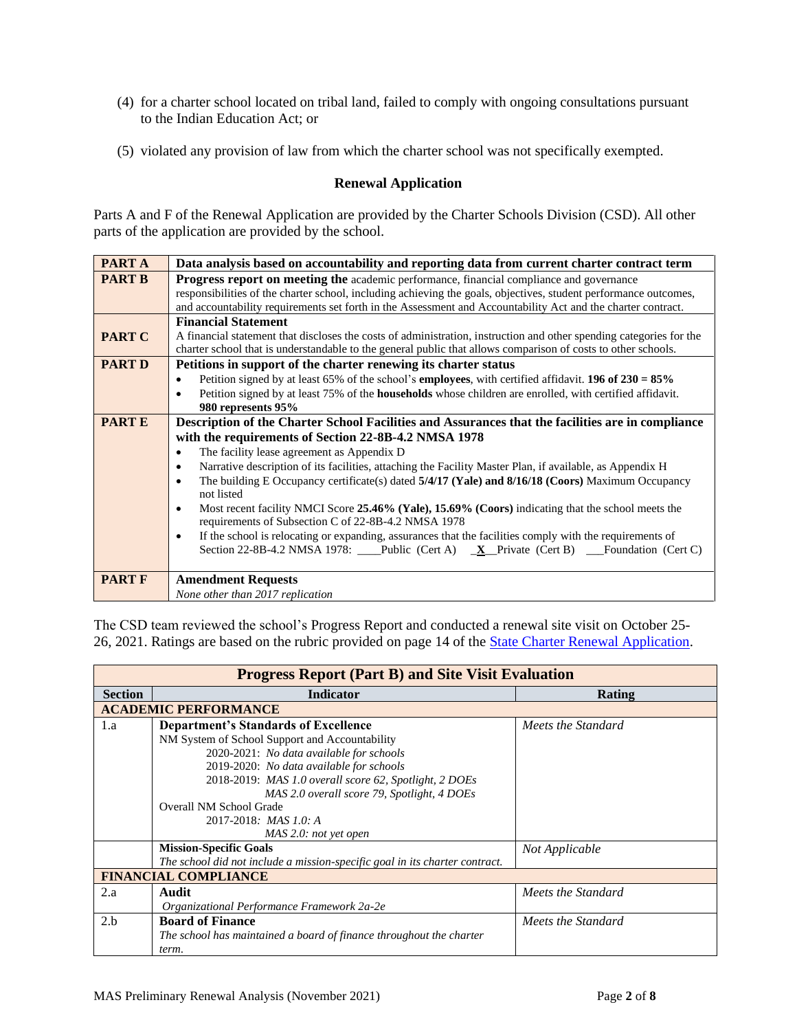- (4) for a charter school located on tribal land, failed to comply with ongoing consultations pursuant to the Indian Education Act; or
- (5) violated any provision of law from which the charter school was not specifically exempted.

# **Renewal Application**

Parts A and F of the Renewal Application are provided by the Charter Schools Division (CSD). All other parts of the application are provided by the school.

| <b>PARTA</b>  | Data analysis based on accountability and reporting data from current charter contract term                                       |  |  |  |  |  |
|---------------|-----------------------------------------------------------------------------------------------------------------------------------|--|--|--|--|--|
| <b>PART B</b> | <b>Progress report on meeting the academic performance, financial compliance and governance</b>                                   |  |  |  |  |  |
|               | responsibilities of the charter school, including achieving the goals, objectives, student performance outcomes,                  |  |  |  |  |  |
|               | and accountability requirements set forth in the Assessment and Accountability Act and the charter contract.                      |  |  |  |  |  |
|               | <b>Financial Statement</b>                                                                                                        |  |  |  |  |  |
| <b>PART C</b> | A financial statement that discloses the costs of administration, instruction and other spending categories for the               |  |  |  |  |  |
|               | charter school that is understandable to the general public that allows comparison of costs to other schools.                     |  |  |  |  |  |
| <b>PART D</b> | Petitions in support of the charter renewing its charter status                                                                   |  |  |  |  |  |
|               | Petition signed by at least 65% of the school's <b>employees</b> , with certified affidavit. <b>196 of 230 = 85%</b><br>$\bullet$ |  |  |  |  |  |
|               | Petition signed by at least 75% of the <b>households</b> whose children are enrolled, with certified affidavit.<br>$\bullet$      |  |  |  |  |  |
|               | 980 represents 95%                                                                                                                |  |  |  |  |  |
| <b>PARTE</b>  | Description of the Charter School Facilities and Assurances that the facilities are in compliance                                 |  |  |  |  |  |
|               | with the requirements of Section 22-8B-4.2 NMSA 1978                                                                              |  |  |  |  |  |
|               | The facility lease agreement as Appendix D<br>$\bullet$                                                                           |  |  |  |  |  |
|               | Narrative description of its facilities, attaching the Facility Master Plan, if available, as Appendix H<br>$\bullet$             |  |  |  |  |  |
|               | The building E Occupancy certificate(s) dated 5/4/17 (Yale) and 8/16/18 (Coors) Maximum Occupancy<br>$\bullet$                    |  |  |  |  |  |
|               | not listed                                                                                                                        |  |  |  |  |  |
|               | Most recent facility NMCI Score 25.46% (Yale), 15.69% (Coors) indicating that the school meets the<br>$\bullet$                   |  |  |  |  |  |
|               | requirements of Subsection C of 22-8B-4.2 NMSA 1978                                                                               |  |  |  |  |  |
|               | If the school is relocating or expanding, assurances that the facilities comply with the requirements of<br>$\bullet$             |  |  |  |  |  |
|               | Section 22-8B-4.2 NMSA 1978: ___Public (Cert A) _ <b>X</b> _Private (Cert B) __Foundation (Cert C)                                |  |  |  |  |  |
|               |                                                                                                                                   |  |  |  |  |  |
| <b>PART F</b> | <b>Amendment Requests</b>                                                                                                         |  |  |  |  |  |
|               | None other than 2017 replication                                                                                                  |  |  |  |  |  |

| The CSD team reviewed the school's Progress Report and conducted a renewal site visit on October 25-            |  |  |  |
|-----------------------------------------------------------------------------------------------------------------|--|--|--|
| 26, 2021. Ratings are based on the rubric provided on page 14 of the <b>State Charter Renewal Application</b> . |  |  |  |

|                | <b>Progress Report (Part B) and Site Visit Evaluation</b>                   |                    |  |  |  |  |
|----------------|-----------------------------------------------------------------------------|--------------------|--|--|--|--|
| <b>Section</b> | <b>Indicator</b>                                                            | Rating             |  |  |  |  |
|                | <b>ACADEMIC PERFORMANCE</b>                                                 |                    |  |  |  |  |
| 1.a            | <b>Department's Standards of Excellence</b>                                 | Meets the Standard |  |  |  |  |
|                | NM System of School Support and Accountability                              |                    |  |  |  |  |
|                | 2020-2021: No data available for schools                                    |                    |  |  |  |  |
|                | 2019-2020: No data available for schools                                    |                    |  |  |  |  |
|                | 2018-2019: MAS 1.0 overall score 62, Spotlight, 2 DOEs                      |                    |  |  |  |  |
|                | MAS 2.0 overall score 79, Spotlight, 4 DOEs                                 |                    |  |  |  |  |
|                | Overall NM School Grade                                                     |                    |  |  |  |  |
|                | $2017 - 2018$ : MAS 1.0: A                                                  |                    |  |  |  |  |
|                | MAS 2.0: not yet open                                                       |                    |  |  |  |  |
|                | <b>Mission-Specific Goals</b>                                               | Not Applicable     |  |  |  |  |
|                | The school did not include a mission-specific goal in its charter contract. |                    |  |  |  |  |
|                | <b>FINANCIAL COMPLIANCE</b>                                                 |                    |  |  |  |  |
| 2.a            | Audit                                                                       | Meets the Standard |  |  |  |  |
|                | Organizational Performance Framework 2a-2e                                  |                    |  |  |  |  |
| 2.h            | <b>Board of Finance</b>                                                     | Meets the Standard |  |  |  |  |
|                | The school has maintained a board of finance throughout the charter         |                    |  |  |  |  |
|                | term.                                                                       |                    |  |  |  |  |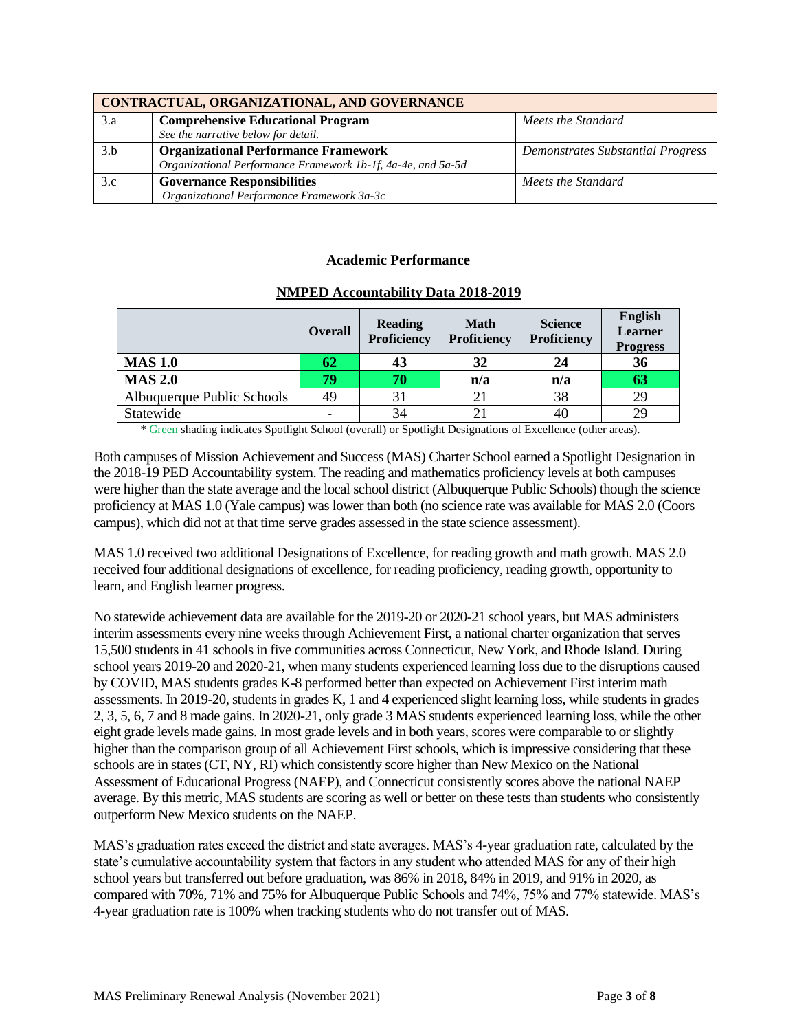|     | CONTRACTUAL, ORGANIZATIONAL, AND GOVERNANCE                  |                                   |  |  |  |  |
|-----|--------------------------------------------------------------|-----------------------------------|--|--|--|--|
| 3.a | <b>Comprehensive Educational Program</b>                     | Meets the Standard                |  |  |  |  |
|     | See the narrative below for detail.                          |                                   |  |  |  |  |
| 3.b | <b>Organizational Performance Framework</b>                  | Demonstrates Substantial Progress |  |  |  |  |
|     | Organizational Performance Framework 1b-1f, 4a-4e, and 5a-5d |                                   |  |  |  |  |
| 3.c | <b>Governance Responsibilities</b>                           | Meets the Standard                |  |  |  |  |
|     | Organizational Performance Framework 3a-3c                   |                                   |  |  |  |  |

## **Academic Performance**

|                            | <b>Overall</b>           | <b>Reading</b><br>Proficiency | <b>Math</b><br>Proficiency | <b>Science</b><br><b>Proficiency</b> | English<br>Learner<br><b>Progress</b> |
|----------------------------|--------------------------|-------------------------------|----------------------------|--------------------------------------|---------------------------------------|
| <b>MAS 1.0</b>             | 62                       | 43                            | 32                         | 24                                   | 36                                    |
| <b>MAS 2.0</b>             | 79                       | 70                            | n/a                        | n/a                                  | 63                                    |
| Albuquerque Public Schools | 49                       | 31                            | 21                         | 38                                   | 29                                    |
| Statewide                  | $\overline{\phantom{0}}$ | 34                            | 21                         | 40                                   | 29                                    |

#### **NMPED Accountability Data 2018-2019**

\* Green shading indicates Spotlight School (overall) or Spotlight Designations of Excellence (other areas).

Both campuses of Mission Achievement and Success (MAS) Charter School earned a Spotlight Designation in the 2018-19 PED Accountability system. The reading and mathematics proficiency levels at both campuses were higher than the state average and the local school district (Albuquerque Public Schools) though the science proficiency at MAS 1.0 (Yale campus) was lower than both (no science rate was available for MAS 2.0 (Coors campus), which did not at that time serve grades assessed in the state science assessment).

MAS 1.0 received two additional Designations of Excellence, for reading growth and math growth. MAS 2.0 received four additional designations of excellence, for reading proficiency, reading growth, opportunity to learn, and English learner progress.

No statewide achievement data are available for the 2019-20 or 2020-21 school years, but MAS administers interim assessments every nine weeks through Achievement First, a national charter organization that serves 15,500 students in 41 schools in five communities across Connecticut, New York, and Rhode Island. During school years 2019-20 and 2020-21, when many students experienced learning loss due to the disruptions caused by COVID, MAS students grades K-8 performed better than expected on Achievement First interim math assessments. In 2019-20, students in grades K, 1 and 4 experienced slight learning loss, while students in grades 2, 3, 5, 6, 7 and 8 made gains. In 2020-21, only grade 3 MAS students experienced learning loss, while the other eight grade levels made gains. In most grade levels and in both years, scores were comparable to or slightly higher than the comparison group of all Achievement First schools, which is impressive considering that these schools are in states (CT, NY, RI) which consistently score higher than New Mexico on the National Assessment of Educational Progress (NAEP), and Connecticut consistently scores above the national NAEP average. By this metric, MAS students are scoring as well or better on these tests than students who consistently outperform New Mexico students on the NAEP.

MAS's graduation rates exceed the district and state averages. MAS's 4-year graduation rate, calculated by the state's cumulative accountability system that factors in any student who attended MAS for any of their high school years but transferred out before graduation, was 86% in 2018, 84% in 2019, and 91% in 2020, as compared with 70%, 71% and 75% for Albuquerque Public Schools and 74%, 75% and 77% statewide. MAS's 4-year graduation rate is 100% when tracking students who do not transfer out of MAS.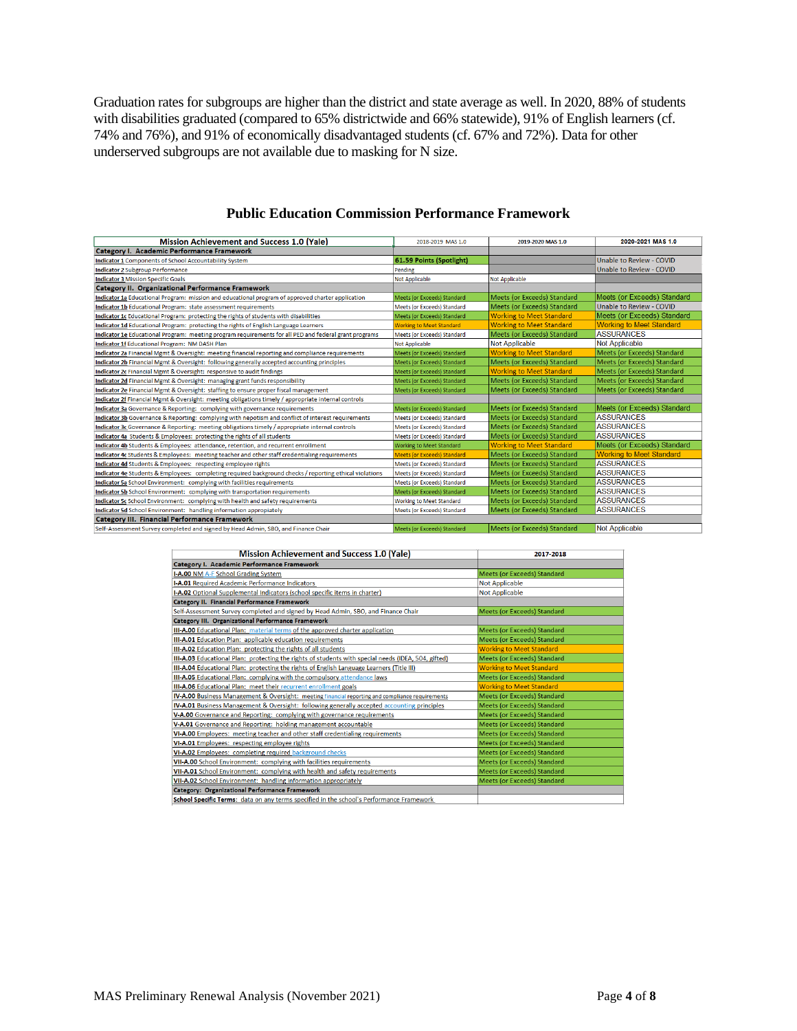Graduation rates for subgroups are higher than the district and state average as well. In 2020, 88% of students with disabilities graduated (compared to 65% districtwide and 66% statewide), 91% of English learners (cf. 74% and 76%), and 91% of economically disadvantaged students (cf. 67% and 72%). Data for other underserved subgroups are not available due to masking for N size.

| <b>Mission Achievement and Success 1.0 (Yale)</b>                                                       | 2018-2019 MAS 1.0                  | 2019-2020 MAS 1.0                  | 2020-2021 MAS 1.0                  |
|---------------------------------------------------------------------------------------------------------|------------------------------------|------------------------------------|------------------------------------|
| Category I. Academic Performance Framework                                                              |                                    |                                    |                                    |
| Indicator 1 Components of School Accountability System                                                  | 61.59 Points (Spotlight)           |                                    | Unable to Review - COVID           |
| <b>Indicator 2 Subgroup Performance</b>                                                                 | Pending                            |                                    | Unable to Review - COVID           |
| <b>Indicator 3 Mission Specific Goals</b>                                                               | Not Applicable                     | Not Applicable                     |                                    |
| Category II. Organizational Performance Framework                                                       |                                    |                                    |                                    |
| Indicator 1a Educational Program: mission and educational program of approved charter application       | Meets (or Exceeds) Standard        | <b>Meets (or Exceeds) Standard</b> | <b>Meets (or Exceeds) Standard</b> |
| <b>Indicator 1b</b> Educational Program: state assessment requirements                                  | Meets (or Exceeds) Standard        | <b>Meets (or Exceeds) Standard</b> | Unable to Review - COVID           |
| Indicator 1c Educational Program: protecting the rights of students with disabilities                   | Meets (or Exceeds) Standard        | <b>Working to Meet Standard</b>    | <b>Meets (or Exceeds) Standard</b> |
| Indicator 1d Educational Program: protecting the rights of English Language Learners                    | <b>Working to Meet Standard</b>    | <b>Working to Meet Standard</b>    | <b>Working to Meet Standard</b>    |
| Indicator 1e Educational Program: meeting program requirements for all PED and federal grant programs   | Meets (or Exceeds) Standard        | Meets (or Exceeds) Standard        | <b>ASSURANCES</b>                  |
| Indicator 1f Educational Program: NM DASH Plan                                                          | <b>Not Applicable</b>              | <b>Not Applicable</b>              | <b>Not Applicable</b>              |
| Indicator 2a Financial Mgmt & Oversight: meeting financial reporting and compliance requirements        | Meets (or Exceeds) Standard        | <b>Working to Meet Standard</b>    | Meets (or Exceeds) Standard        |
| Indicator 2b Financial Mgmt & Oversight: following generally accepted accounting principles             | Meets (or Exceeds) Standard        | Meets (or Exceeds) Standard        | Meets (or Exceeds) Standard        |
| Indicator 2c Financial Mgmt & Oversight: responsive to audit findings                                   | Meets (or Exceeds) Standard        | <b>Working to Meet Standard</b>    | Meets (or Exceeds) Standard        |
| Indicator 2d Financial Mgmt & Oversight: managing grant funds responsibility                            | Meets (or Exceeds) Standard        | Meets (or Exceeds) Standard        | Meets (or Exceeds) Standard        |
| Indicator 2e Financial Mgmt & Oversight: staffing to ensure proper fiscal management                    | Meets (or Exceeds) Standard        | Meets (or Exceeds) Standard        | Meets (or Exceeds) Standard        |
| Indicator 2f Financial Mgmt & Oversight: meeting obligations timely / appropriate internal controls     |                                    |                                    |                                    |
| Indicator 3a Governance & Reporting: complying with governance requirements                             | Meets (or Exceeds) Standard        | Meets (or Exceeds) Standard        | Meets (or Exceeds) Standard        |
| Indicator 3b Governance & Reporting: complying with nepotism and conflict of interest requirements      | Meets (or Exceeds) Standard        | Meets (or Exceeds) Standard        | <b>ASSURANCES</b>                  |
| Indicator 3c Governance & Reporting: meeting obligations timely / appropriate internal controls         | Meets (or Exceeds) Standard        | Meets (or Exceeds) Standard        | <b>ASSURANCES</b>                  |
| Indicator 4a Students & Employees: protecting the rights of all students                                | <b>Meets (or Exceeds) Standard</b> | Meets (or Exceeds) Standard        | <b>ASSURANCES</b>                  |
| Indicator 4b Students & Employees: attendance, retention, and recurrent enrollment                      | <b>Working to Meet Standard</b>    | <b>Working to Meet Standard</b>    | <b>Meets (or Exceeds) Standard</b> |
| Indicator 4c Students & Employees: meeting teacher and other staff credentialing requirements           | <b>Meets (or Exceeds) Standard</b> | Meets (or Exceeds) Standard        | <b>Working to Meet Standard</b>    |
| Indicator 4d Students & Employees: respecting employee rights                                           | <b>Meets (or Exceeds) Standard</b> | Meets (or Exceeds) Standard        | <b>ASSURANCES</b>                  |
| Indicator 4e Students & Employees: completing required background checks / reporting ethical violations | <b>Meets (or Exceeds) Standard</b> | Meets (or Exceeds) Standard        | <b>ASSURANCES</b>                  |
| Indicator 5a School Environment: complying with facilities requirements                                 | Meets (or Exceeds) Standard        | Meets (or Exceeds) Standard        | <b>ASSURANCES</b>                  |
| Indicator 5b School Environment: complying with transportation requirements                             | Meets (or Exceeds) Standard        | Meets (or Exceeds) Standard        | <b>ASSURANCES</b>                  |
| Indicator 5c School Environment: complying with health and safety requirements                          | <b>Working to Meet Standard</b>    | Meets (or Exceeds) Standard        | <b>ASSURANCES</b>                  |
| Indicator 5d School Environment: handling information appropiately                                      | Meets (or Exceeds) Standard        | Meets (or Exceeds) Standard        | <b>ASSURANCES</b>                  |
| Category III. Financial Performance Framework                                                           |                                    |                                    |                                    |
| Self-Assessment Survey completed and signed by Head Admin, SBO, and Finance Chair                       | Meets (or Exceeds) Standard        | Meets (or Exceeds) Standard        | <b>Not Applicable</b>              |

## **Public Education Commission Performance Framework**

| <b>Mission Achievement and Success 1.0 (Yale)</b>                                                   | 2017-2018                          |
|-----------------------------------------------------------------------------------------------------|------------------------------------|
| Category I. Academic Performance Framework                                                          |                                    |
| I-A.00 NM A-F School Grading System                                                                 | <b>Meets (or Exceeds) Standard</b> |
| I-A.01 Required Academic Performance Indicators                                                     | <b>Not Applicable</b>              |
| I-A.02 Optional Supplemental Indicators (school specific items in charter)                          | <b>Not Applicable</b>              |
| Category II. Financial Performance Framework                                                        |                                    |
| Self-Assessment Survey completed and signed by Head Admin, SBO, and Finance Chair                   | <b>Meets (or Exceeds) Standard</b> |
| <b>Category III. Organizational Performance Framework</b>                                           |                                    |
| III-A.00 Educational Plan: material terms of the approved charter application                       | Meets (or Exceeds) Standard        |
| <b>III-A.01</b> Education Plan: applicable education requirements                                   | <b>Meets (or Exceeds) Standard</b> |
| III-A.02 Education Plan: protecting the rights of all students                                      | <b>Working to Meet Standard</b>    |
| III-A.03 Educational Plan: protecting the rights of students with special needs (IDEA, 504, gifted) | Meets (or Exceeds) Standard        |
| III-A.04 Educational Plan: protecting the rights of English Language Learners (Title III)           | <b>Working to Meet Standard</b>    |
| III-A.05 Educational Plan: complying with the compulsory attendance laws                            | <b>Meets (or Exceeds) Standard</b> |
| <b>III-A.06</b> Educational Plan: meet their recurrent enrollment goals                             | <b>Working to Meet Standard</b>    |
| IV-A.00 Business Management & Oversight: meeting financial reporting and compliance requirements    | Meets (or Exceeds) Standard        |
| IV-A.01 Business Management & Oversight: following generally accepted accounting principles         | <b>Meets (or Exceeds) Standard</b> |
| V-A.00 Governance and Reporting: complying with governance requirements                             | <b>Meets (or Exceeds) Standard</b> |
| V-A.01 Governance and Reporting: holding management accountable                                     | <b>Meets (or Exceeds) Standard</b> |
| VI-A.00 Employees: meeting teacher and other staff credentialing requirements                       | <b>Meets (or Exceeds) Standard</b> |
| VI-A.01 Employees: respecting employee rights                                                       | Meets (or Exceeds) Standard        |
| VI-A.02 Employees: completing required background checks                                            | <b>Meets (or Exceeds) Standard</b> |
| VII-A.00 School Environment: complying with facilities requirements                                 | Meets (or Exceeds) Standard        |
| VII-A.01 School Environment: complying with health and safety requirements                          | Meets (or Exceeds) Standard        |
| VII-A.02 School Environment: handling information appropriately                                     | <b>Meets (or Exceeds) Standard</b> |
| <b>Category: Organizational Performance Framework</b>                                               |                                    |
| School Specific Terms: data on any terms specified in the school's Performance Framework            |                                    |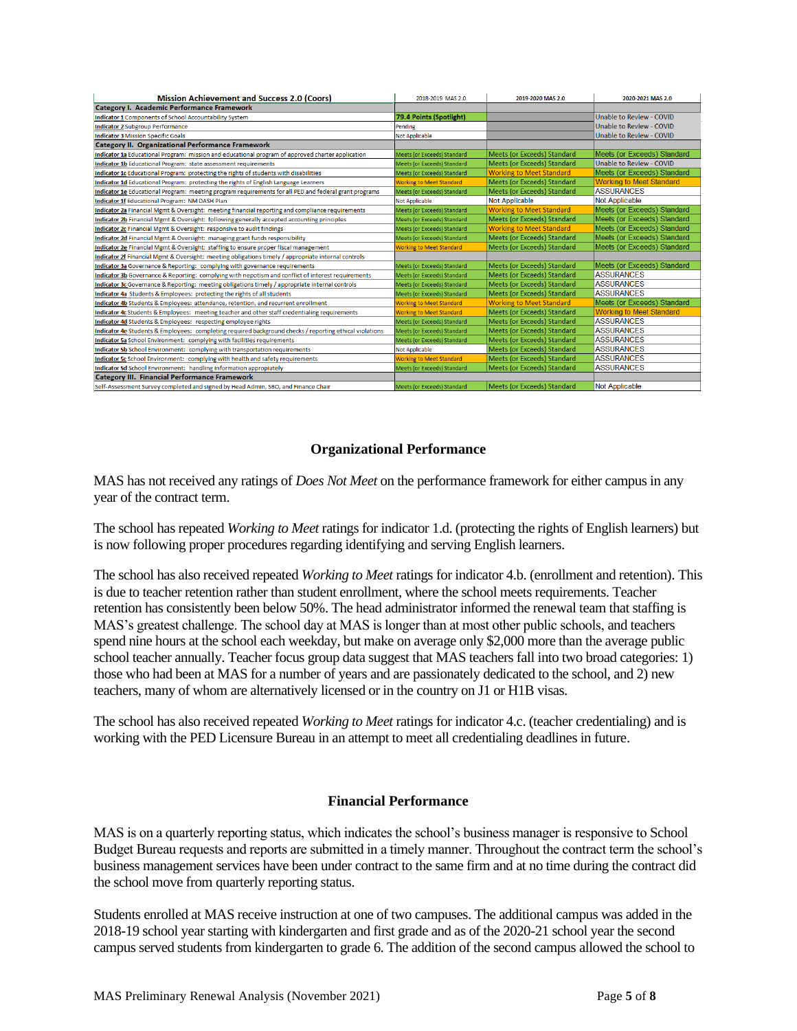| <b>Mission Achievement and Success 2.0 (Coors)</b>                                                      | 2018-2019 MAS 2.0                  | 2019-2020 MAS 2.0                  | 2020-2021 MAS 2.0               |
|---------------------------------------------------------------------------------------------------------|------------------------------------|------------------------------------|---------------------------------|
| Category I. Academic Performance Framework                                                              |                                    |                                    |                                 |
| Indicator 1 Components of School Accountability System                                                  | 79.4 Points (Spotlight)            |                                    | Unable to Review - COVID        |
| <b>Indicator 2 Subgroup Performance</b>                                                                 | Pending                            |                                    | Unable to Review - COVID        |
| <b>Indicator 3 Mission Specific Goals</b>                                                               | <b>Not Applicable</b>              |                                    | <b>Unable to Review - COVID</b> |
| <b>Category II. Organizational Performance Framework</b>                                                |                                    |                                    |                                 |
| Indicator 1a Educational Program: mission and educational program of approved charter application       | Meets (or Exceeds) Standard        | <b>Meets (or Exceeds) Standard</b> | Meets (or Exceeds) Standard     |
| Indicator 1b Educational Program: state assessment requirements                                         | Meets (or Exceeds) Standard        | Meets (or Exceeds) Standard        | Unable to Review - COVID        |
| Indicator 1c Educational Program: protecting the rights of students with disabilities                   | Meets (or Exceeds) Standard        | <b>Working to Meet Standard</b>    | Meets (or Exceeds) Standard     |
| Indicator 1d Educational Program: protecting the rights of English Language Learners                    | <b>Working to Meet Standard</b>    | Meets (or Exceeds) Standard        | <b>Working to Meet Standard</b> |
| Indicator 1e Educational Program: meeting program requirements for all PED and federal grant programs   | Meets (or Exceeds) Standard        | Meets (or Exceeds) Standard        | <b>ASSURANCES</b>               |
| Indicator 1f Educational Program: NM DASH Plan                                                          | <b>Not Applicable</b>              | <b>Not Applicable</b>              | <b>Not Applicable</b>           |
| Indicator 2a Financial Mgmt & Oversight: meeting financial reporting and compliance requirements        | Meets (or Exceeds) Standard        | <b>Working to Meet Standard</b>    | Meets (or Exceeds) Standard     |
| Indicator 2b Financial Mgmt & Oversight: following generally accepted accounting principles             | Meets (or Exceeds) Standard        | Meets (or Exceeds) Standard        | Meets (or Exceeds) Standard     |
| Indicator 2c Financial Mgmt & Oversight: responsive to audit findings                                   | Meets (or Exceeds) Standard        | <b>Working to Meet Standard</b>    | Meets (or Exceeds) Standard     |
| Indicator 2d Financial Mgmt & Oversight: managing grant funds responsibility                            | Meets (or Exceeds) Standard        | Meets (or Exceeds) Standard        | Meets (or Exceeds) Standard     |
| Indicator 2e Financial Mgmt & Oversight: staffing to ensure proper fiscal management                    | <b>Working to Meet Standard</b>    | Meets (or Exceeds) Standard        | Meets (or Exceeds) Standard     |
| Indicator 2f Financial Mgmt & Oversight: meeting obligations timely / appropriate internal controls     |                                    |                                    |                                 |
| Indicator 3a Governance & Reporting: complying with governance requirements                             | Meets (or Exceeds) Standard        | Meets (or Exceeds) Standard        | Meets (or Exceeds) Standard     |
| Indicator 3b Governance & Reporting: complying with nepotism and conflict of interest requirements      | Meets (or Exceeds) Standard        | Meets (or Exceeds) Standard        | <b>ASSURANCES</b>               |
| Indicator 3c Governance & Reporting: meeting obligations timely / appropriate internal controls         | Meets (or Exceeds) Standard        | Meets (or Exceeds) Standard        | <b>ASSURANCES</b>               |
| Indicator 4a Students & Employees: protecting the rights of all students                                | <b>Meets (or Exceeds) Standard</b> | Meets (or Exceeds) Standard        | <b>ASSURANCES</b>               |
| Indicator 4b Students & Employees: attendance, retention, and recurrent enrollment                      | <b>Working to Meet Standard</b>    | <b>Working to Meet Standard</b>    | Meets (or Exceeds) Standard     |
| Indicator 4c Students & Employees: meeting teacher and other staff credentialing requirements           | <b>Working to Meet Standard</b>    | Meets (or Exceeds) Standard        | <b>Working to Meet Standard</b> |
| Indicator 4d Students & Employees: respecting employee rights                                           | <b>Meets (or Exceeds) Standard</b> | <b>Meets (or Exceeds) Standard</b> | <b>ASSURANCES</b>               |
| Indicator 4e Students & Employees: completing required background checks / reporting ethical violations | Meets (or Exceeds) Standard        | Meets (or Exceeds) Standard        | <b>ASSURANCES</b>               |
| Indicator 5a School Environment: complying with facilities requirements                                 | Meets (or Exceeds) Standard        | Meets (or Exceeds) Standard        | <b>ASSURANCES</b>               |
| Indicator 5b School Environment: complying with transportation requirements                             | <b>Not Applicable</b>              | Meets (or Exceeds) Standard        | <b>ASSURANCES</b>               |
| Indicator 5c School Environment: complying with health and safety requirements                          | <b>Working to Meet Standard</b>    | <b>Meets (or Exceeds) Standard</b> | <b>ASSURANCES</b>               |
| Indicator 5d School Environment: handling information appropiately                                      | Meets (or Exceeds) Standard        | Meets (or Exceeds) Standard        | <b>ASSURANCES</b>               |
| <b>Category III. Financial Performance Framework</b>                                                    |                                    |                                    |                                 |
| Self-Assessment Survey completed and signed by Head Admin, SBO, and Finance Chair                       | Meets (or Exceeds) Standard        | Meets (or Exceeds) Standard        | <b>Not Applicable</b>           |

## **Organizational Performance**

MAS has not received any ratings of *Does Not Meet* on the performance framework for either campus in any year of the contract term.

The school has repeated *Working to Meet* ratings for indicator 1.d. (protecting the rights of English learners) but is now following proper procedures regarding identifying and serving English learners.

The school has also received repeated *Working to Meet* ratings for indicator 4.b. (enrollment and retention). This is due to teacher retention rather than student enrollment, where the school meets requirements. Teacher retention has consistently been below 50%. The head administrator informed the renewal team that staffing is MAS's greatest challenge. The school day at MAS is longer than at most other public schools, and teachers spend nine hours at the school each weekday, but make on average only \$2,000 more than the average public school teacher annually. Teacher focus group data suggest that MAS teachers fall into two broad categories: 1) those who had been at MAS for a number of years and are passionately dedicated to the school, and 2) new teachers, many of whom are alternatively licensed or in the country on J1 or H1B visas.

The school has also received repeated *Working to Meet* ratings for indicator 4.c. (teacher credentialing) and is working with the PED Licensure Bureau in an attempt to meet all credentialing deadlines in future.

## **Financial Performance**

MAS is on a quarterly reporting status, which indicates the school's business manager is responsive to School Budget Bureau requests and reports are submitted in a timely manner. Throughout the contract term the school's business management services have been under contract to the same firm and at no time during the contract did the school move from quarterly reporting status.

Students enrolled at MAS receive instruction at one of two campuses. The additional campus was added in the 2018-19 school year starting with kindergarten and first grade and as of the 2020-21 school year the second campus served students from kindergarten to grade 6. The addition of the second campus allowed the school to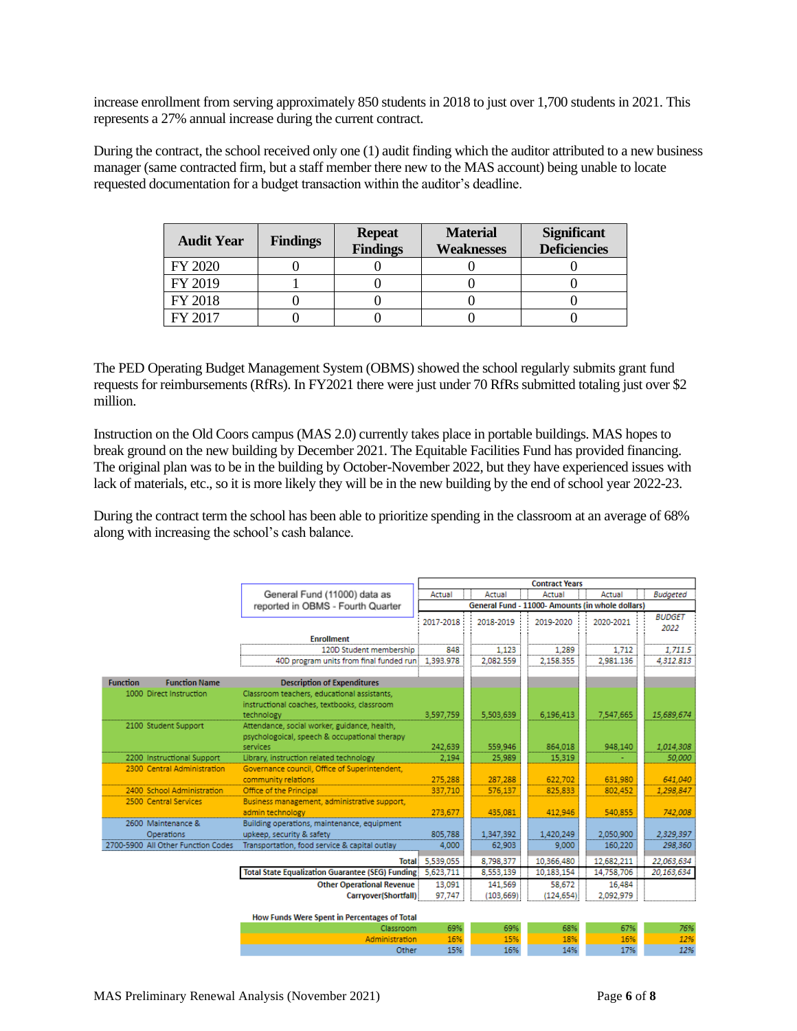increase enrollment from serving approximately 850 students in 2018 to just over 1,700 students in 2021. This represents a 27% annual increase during the current contract.

During the contract, the school received only one (1) audit finding which the auditor attributed to a new business manager (same contracted firm, but a staff member there new to the MAS account) being unable to locate requested documentation for a budget transaction within the auditor's deadline.

| <b>Audit Year</b> | <b>Findings</b> | <b>Repeat</b><br><b>Findings</b> | <b>Material</b><br><b>Weaknesses</b> | <b>Significant</b><br><b>Deficiencies</b> |
|-------------------|-----------------|----------------------------------|--------------------------------------|-------------------------------------------|
| FY 2020           |                 |                                  |                                      |                                           |
| FY 2019           |                 |                                  |                                      |                                           |
| FY 2018           |                 |                                  |                                      |                                           |
| FY 2017           |                 |                                  |                                      |                                           |

The PED Operating Budget Management System (OBMS) showed the school regularly submits grant fund requests for reimbursements (RfRs). In FY2021 there were just under 70 RfRs submitted totaling just over \$2 million.

Instruction on the Old Coors campus (MAS 2.0) currently takes place in portable buildings. MAS hopes to break ground on the new building by December 2021. The Equitable Facilities Fund has provided financing. The original plan was to be in the building by October-November 2022, but they have experienced issues with lack of materials, etc., so it is more likely they will be in the new building by the end of school year 2022-23.

During the contract term the school has been able to prioritize spending in the classroom at an average of 68% along with increasing the school's cash balance.

|                 |                                    |                                                                                                           | <b>Contract Years</b>                            |            |            |                 |                       |
|-----------------|------------------------------------|-----------------------------------------------------------------------------------------------------------|--------------------------------------------------|------------|------------|-----------------|-----------------------|
|                 |                                    | General Fund (11000) data as                                                                              | Actual<br>Actual<br>Actual<br>Actual             |            |            | <b>Budgeted</b> |                       |
|                 |                                    | reported in OBMS - Fourth Quarter                                                                         | General Fund - 11000- Amounts (in whole dollars) |            |            |                 |                       |
|                 |                                    |                                                                                                           | 2017-2018                                        | 2018-2019  | 2019-2020  | 2020-2021       | <b>BUDGET</b><br>2022 |
|                 |                                    | <b>Enrollment</b>                                                                                         |                                                  |            |            |                 |                       |
|                 |                                    | 120D Student membership                                                                                   | 848                                              | 1,123      | 1,289      | 1.712           | 1.711.5               |
|                 |                                    | 40D program units from final funded runi                                                                  | 1,393.978                                        | 2,082.559  | 2,158.355  | 2,981.136       | 4,312.813             |
|                 |                                    |                                                                                                           |                                                  |            |            |                 |                       |
| <b>Function</b> | <b>Function Name</b>               | <b>Description of Expenditures</b>                                                                        |                                                  |            |            |                 |                       |
|                 | 1000 Direct Instruction            | Classroom teachers, educational assistants,<br>instructional coaches, textbooks, classroom<br>technology  | 3.597.759                                        | 5.503.639  | 6.196.413  | 7,547,665       | 15,689,674            |
|                 | 2100 Student Support               | Attendance, social worker, guidance, health,<br>psychologoical, speech & occupational therapy<br>services | 242.639                                          | 559.946    | 864.018    | 948.140         | 1,014,308             |
|                 | 2200 Instructional Support         | Library, instruction related technology                                                                   | 2.194                                            | 25,989     | 15,319     |                 | 50,000                |
|                 | 2300 Central Administration        | Governance council, Office of Superintendent,                                                             |                                                  |            |            |                 |                       |
|                 |                                    | community relations                                                                                       | 275.288                                          | 287.288    | 622.702    | 631.980         | 641.040               |
|                 | 2400 School Administration         | Office of the Principal                                                                                   | 337,710                                          | 576,137    | 825,833    | 802,452         | 1,298,847             |
|                 | 2500 Central Services              | Business management, administrative support,<br>admin technology                                          | 273,677                                          | 435,081    | 412,946    | 540,855         | 742,008               |
|                 | 2600 Maintenance &                 | Building operations, maintenance, equipment                                                               |                                                  |            |            |                 |                       |
|                 | <b>Operations</b>                  | upkeep, security & safety                                                                                 | 805,788                                          | 1,347,392  | 1,420,249  | 2,050,900       | 2,329,397             |
|                 | 2700-5900 All Other Function Codes | Transportation, food service & capital outlay                                                             | 4,000                                            | 62,903     | 9,000      | 160,220         | 298,360               |
|                 |                                    |                                                                                                           | Total: 5,539,055                                 | 8.798.377  | 10,366,480 | 12,682.211      | 22.063.634            |
|                 |                                    | <b>Total State Equalization Guarantee (SEG) Funding:</b>                                                  | 5,623,711                                        | 8,553,139  | 10,183,154 | 14,758,706      | 20,163,634            |
|                 |                                    | <b>Other Operational Revenue</b>                                                                          | 13,091                                           | 141,569    | 58,672     | 16,484          |                       |
|                 |                                    | Carryover(Shortfall)                                                                                      | 97,747                                           | (103, 669) | (124, 654) | 2,092,979       |                       |
|                 |                                    | How Funds Were Spent in Percentages of Total                                                              |                                                  |            |            |                 |                       |
|                 |                                    | Classroom                                                                                                 | 69%                                              | 69%        | 68%        | 67%             | 76%                   |
|                 |                                    | Administration                                                                                            | 16%                                              | 15%        | 18%        | 16%             | 12%                   |
|                 |                                    | Other                                                                                                     | 15%                                              | 16%        | 14%        | 17%             | 12%                   |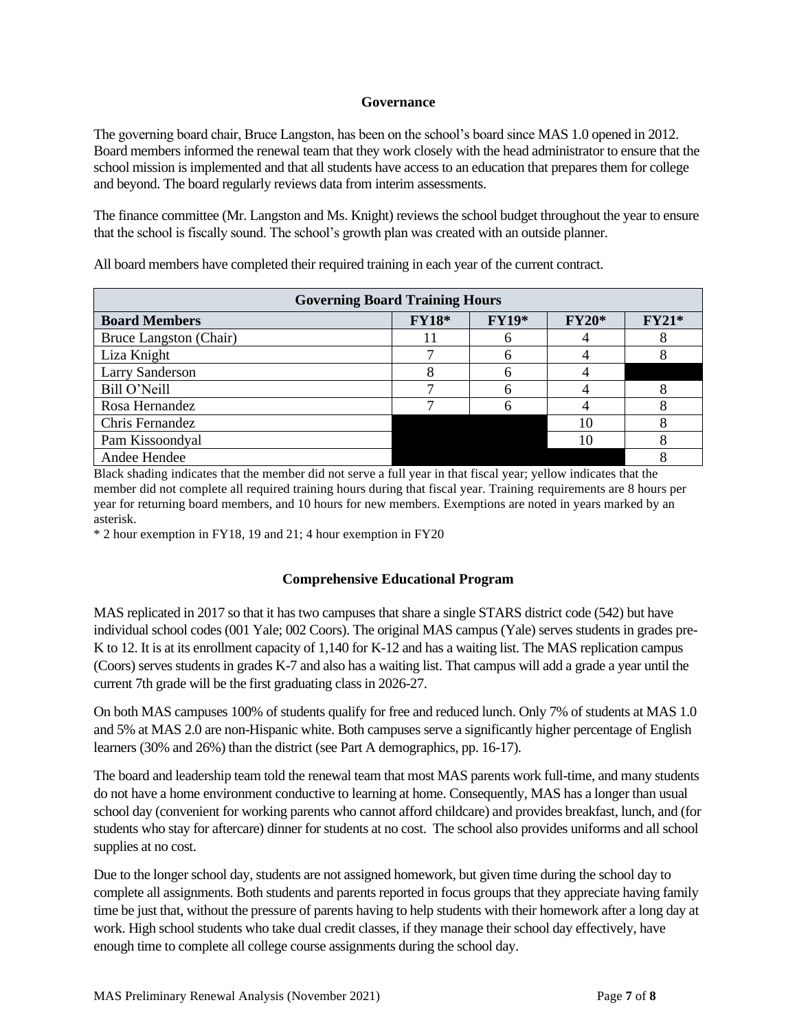## **Governance**

The governing board chair, Bruce Langston, has been on the school's board since MAS 1.0 opened in 2012. Board members informed the renewal team that they work closely with the head administrator to ensure that the school mission is implemented and that all students have access to an education that prepares them for college and beyond. The board regularly reviews data from interim assessments.

The finance committee (Mr. Langston and Ms. Knight) reviews the school budget throughout the year to ensure that the school is fiscally sound. The school's growth plan was created with an outside planner.

| <b>Governing Board Training Hours</b> |              |         |              |         |  |  |
|---------------------------------------|--------------|---------|--------------|---------|--|--|
| <b>Board Members</b>                  | <b>FY18*</b> | $FY19*$ | <b>FY20*</b> | $FY21*$ |  |  |
| Bruce Langston (Chair)                |              |         |              |         |  |  |
| Liza Knight                           |              |         |              |         |  |  |
| <b>Larry Sanderson</b>                |              |         |              |         |  |  |
| Bill O'Neill                          |              |         |              |         |  |  |
| Rosa Hernandez                        |              |         |              |         |  |  |
| Chris Fernandez                       |              |         | 10           |         |  |  |
| Pam Kissoondyal                       |              |         | 10           |         |  |  |
| Andee Hendee                          |              |         |              |         |  |  |

All board members have completed their required training in each year of the current contract.

Black shading indicates that the member did not serve a full year in that fiscal year; yellow indicates that the member did not complete all required training hours during that fiscal year. Training requirements are 8 hours per year for returning board members, and 10 hours for new members. Exemptions are noted in years marked by an asterisk.

\* 2 hour exemption in FY18, 19 and 21; 4 hour exemption in FY20

## **Comprehensive Educational Program**

MAS replicated in 2017 so that it has two campuses that share a single STARS district code (542) but have individual school codes (001 Yale; 002 Coors). The original MAS campus (Yale) serves students in grades pre-K to 12. It is at its enrollment capacity of 1,140 for K-12 and has a waiting list. The MAS replication campus (Coors) serves students in grades K-7 and also has a waiting list. That campus will add a grade a year until the current 7th grade will be the first graduating class in 2026-27.

On both MAS campuses 100% of students qualify for free and reduced lunch. Only 7% of students at MAS 1.0 and 5% at MAS 2.0 are non-Hispanic white. Both campuses serve a significantly higher percentage of English learners (30% and 26%) than the district (see Part A demographics, pp. 16-17).

The board and leadership team told the renewal team that most MAS parents work full-time, and many students do not have a home environment conductive to learning at home. Consequently, MAS has a longer than usual school day (convenient for working parents who cannot afford childcare) and provides breakfast, lunch, and (for students who stay for aftercare) dinner for students at no cost. The school also provides uniforms and all school supplies at no cost.

Due to the longer school day, students are not assigned homework, but given time during the school day to complete all assignments. Both students and parents reported in focus groups that they appreciate having family time be just that, without the pressure of parents having to help students with their homework after a long day at work. High school students who take dual credit classes, if they manage their school day effectively, have enough time to complete all college course assignments during the school day.